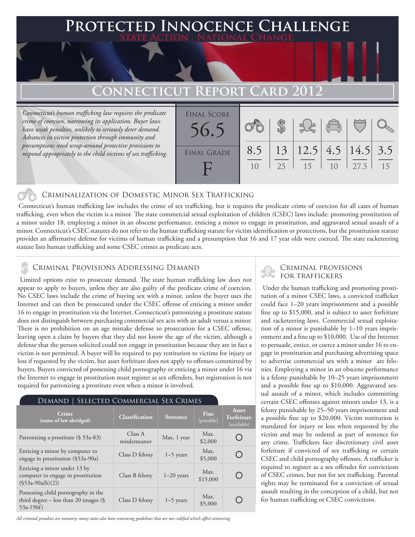# **PTED INNOCENCE CHALLENGE State Action . National Change.**

## **CONNECTICUT REPORT CARD**

*Connecticut's human trafficking law requires the predicate crime of coercion, narrowing its application. Buyer laws have weak penalties, unlikely to seriously deter demand. Advances in victim protection through immunity and presumptions need wrap-around protective provisions to respond appropriately to the child victims of sex trafficking.*

| <b>FINAL SCORE</b><br>56.5 |           |          |                           | $\begin{array}{ccc} \begin{array}{ccc} \circ & \circ \\ \circ & \circ \end{array} \end{array}$ |      |    |
|----------------------------|-----------|----------|---------------------------|------------------------------------------------------------------------------------------------|------|----|
| <b>FINAL GRADE</b>         | 8.5<br>10 | 13<br>25 | $12.5$ 4.5 14.5 3.5<br>15 | 10                                                                                             | 27.5 | 15 |
|                            |           |          |                           |                                                                                                |      |    |

## Criminalization of Domestic Minor Sex Trafficking

 Connecticut's human trafficking law includes the crime of sex trafficking, but it requires the predicate crime of coercion for all cases of human trafficking, even when the victim is a minor. The state commercial sexual exploitation of children (CSEC) laws include: promoting prostitution of a minor under 18, employing a minor in an obscene performance, enticing a minor to engage in prostitution, and aggravated sexual assault of a minor. Connecticut's CSEC statutes do not refer to the human trafficking statute for victim identification or protections, but the prostitution statute provides an affirmative defense for victims of human trafficking and a presumption that 16 and 17 year olds were coerced. The state racketeering statute lists human trafficking and some CSEC crimes as predicate acts.

## CRIMINAL PROVISIONS ADDRESSING DEMAND

 Limited options exist to prosecute demand. The state human trafficking law does not appear to apply to buyers, unless they are also guilty of the predicate crime of coercion. No CSEC laws include the crime of buying sex with a minor, unless the buyer uses the Internet and can then be prosecuted under the CSEC offense of enticing a minor under 16 to engage in prostitution via the Internet. Connecticut's patronizing a prostitute statute does not distinguish between purchasing commercial sex acts with an adult versus a minor. There is no prohibition on an age mistake defense to prosecution for a CSEC offense, leaving open a claim by buyers that they did not know the age of the victim, although a defense that the person solicited could not engage in prostitution because they are in fact a victim is not permitted. A buyer will be required to pay restitution to victims for injury or loss if requested by the victim, but asset forfeiture does not apply to offenses committed by buyers. Buyers convicted of possessing child pornography or enticing a minor under 16 via the Internet to engage in prostitution must register as sex offenders, but registration is not required for patronizing a prostitute even when a minor is involved.

#### Demand | Selected Commercial Sex Crimes

| Crime<br>(name of law abridged)                                                           | <b>Classification</b>  | <b>Sentence</b> | Fine<br>(possible) | Asset<br>Forfeiture<br>(available) |
|-------------------------------------------------------------------------------------------|------------------------|-----------------|--------------------|------------------------------------|
| Patronizing a prostitute $(§ 53a-83)$                                                     | Class A<br>misdemeanor | Max. 1 year     | Max.<br>\$2,000    |                                    |
| Enticing a minor by computer to<br>engage in prostitution $(\$53a-90a)$                   | Class D felony         | $1-5$ years     | Max.<br>\$5,000    |                                    |
| Enticing a minor under 13 by<br>computer to engage in prostitution<br>$(\$53a-90a(b)(2))$ | Class B felony         | $1-20$ years    | Max.<br>\$15,000   |                                    |
| Possessing child pornography in the<br>third degree - less than 20 images (§<br>53a-196f) | Class D felony         | $1-5$ years     | Max.<br>\$5,000    |                                    |

*All criminal penalties are statutory; many states also have sentencing guidelines that are not codified which affect sentencing.* 

# Criminal provisions

 Under the human trafficking and promoting prostitution of a minor CSEC laws, a convicted trafficker could face 1–20 years imprisonment and a possible fine up to \$15,000, and is subject to asset forfeiture and racketeering laws. Commercial sexual exploitation of a minor is punishable by 1–10 years imprisonment and a fine up to \$10,000. Use of the Internet to persuade, entice, or coerce a minor under 16 to engage in prostitution and purchasing advertising space to advertise commercial sex with a minor are felonies. Employing a minor in an obscene performance is a felony punishable by 10–25 years imprisonment and a possible fine up to \$10,000. Aggravated sexual assault of a minor, which includes committing certain CSEC offenses against minors under 13, is a felony punishable by 25–50 years imprisonment and a possible fine up to \$20,000. Victim restitution is mandated for injury or loss when requested by the victim and may be ordered as part of sentence for any crime. Traffickers face discretionary civil asset forfeiture if convicted of sex trafficking or certain CSEC and child pornography offenses. A trafficker is required to register as a sex offender for convictions of CSEC crimes, but not for sex trafficking. Parental rights may be terminated for a conviction of sexual assault resulting in the conception of a child, but not for human trafficking or CSEC convictions.